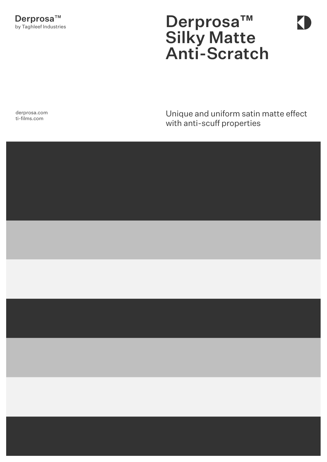## Derprosa™ Silky Matte Anti-Scratch

 $\blacksquare$ 

derprosa.com ti-films.com

## Unique and uniform satin matte effect with anti-scuff properties